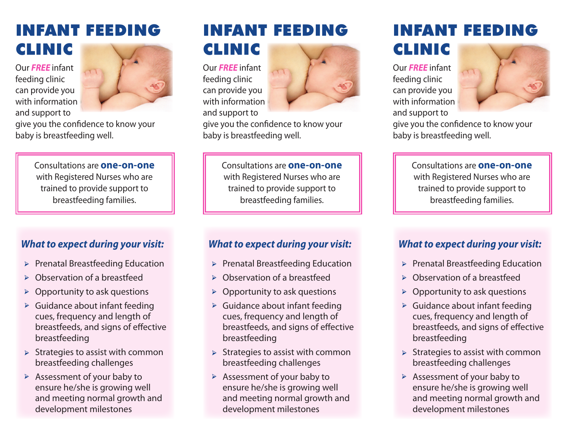# NFANT FEED CLINIC

Our *FREE* infant feeding clinic can provide you with information and support to



give you the confidence to know your baby is breastfeeding well.

> Consultations are **one-on-one**  with Registered Nurses who are trained to provide support to breastfeeding families.

# *What to expect during your visit:*

- Prenatal Breastfeeding Education ➢
- Observation of a breastfeed ➢
- Opportunity to ask questions ➢
- Guidance about infant feeding cues, frequency and length of breastfeeds, and signs of effective breastfeeding ➢
- Strategies to assist with common breastfeeding challenges ➢
- Assessment of your baby to ensure he/she is growing well and meeting normal growth and development milestones ➢